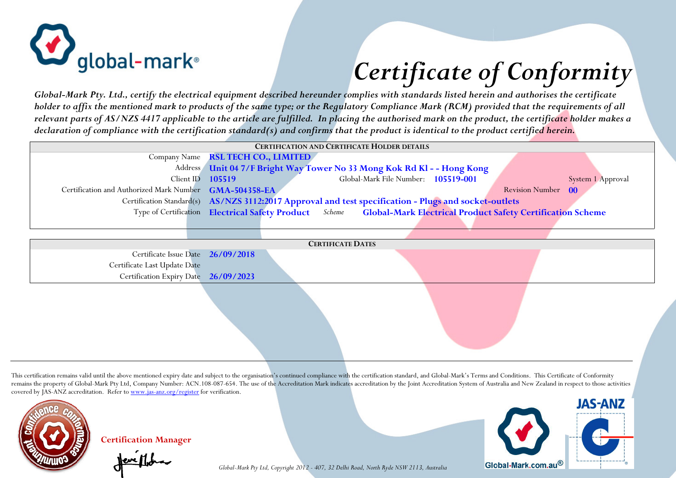

## *Certificate of Conformity*

*Global-Mark Pty. Ltd., certify the electrical equipment described hereunder complies with standards listed herein and authorises the certificate holder to affix the mentioned mark to products of the same type; or the Regulatory Compliance Mark (RCM) provided that the requirements of all relevant parts of AS/NZS 4417 applicable to the article are fulfilled. In placing the authorised mark on the product, the certificate holder makes a declaration of compliance with the certification standard(s) and confirms that the product is identical to the product certified herein.*

| <b>CERTIFICATION AND CERTIFICATE HOLDER DETAILS</b>    |                                                                                                                   |  |                                     |  |  |                    |                   |
|--------------------------------------------------------|-------------------------------------------------------------------------------------------------------------------|--|-------------------------------------|--|--|--------------------|-------------------|
|                                                        | Company Name RSL TECH CO., LIMITED                                                                                |  |                                     |  |  |                    |                   |
|                                                        | Address Unit 04 7/F Bright Way Tower No 33 Mong Kok Rd Kl - - Hong Kong                                           |  |                                     |  |  |                    |                   |
| Client ID $105519$                                     |                                                                                                                   |  | Global-Mark File Number: 105519-001 |  |  |                    | System 1 Approval |
| Certification and Authorized Mark Number GMA-504358-EA |                                                                                                                   |  |                                     |  |  | Revision Number 00 |                   |
|                                                        | Certification Standard(s) AS/NZS 3112:2017 Approval and test specification - Plugs and socket-outlets             |  |                                     |  |  |                    |                   |
|                                                        | Type of Certification Electrical Safety Product Scheme Global-Mark Electrical Product Safety Certification Scheme |  |                                     |  |  |                    |                   |
|                                                        |                                                                                                                   |  |                                     |  |  |                    |                   |

| <b>CERTIFICATE DATES</b>             |  |  |  |  |  |  |  |
|--------------------------------------|--|--|--|--|--|--|--|
| Certificate Issue Date 26/09/2018    |  |  |  |  |  |  |  |
| Certificate Last Update Date         |  |  |  |  |  |  |  |
| Certification Expiry Date 26/09/2023 |  |  |  |  |  |  |  |
|                                      |  |  |  |  |  |  |  |
|                                      |  |  |  |  |  |  |  |

This certification remains valid until the above mentioned expiry date and subject to the organisation's continued compliance with the certification standard, and Global-Mark's Terms and Conditions. This Certificate of Con remains the property of Global-Mark Pty Ltd, Company Number: ACN.108-087-654. The use of the Accreditation Mark indicates accreditation by the Joint Accreditation System of Australia and New Zealand in respect to those act covered by JAS-ANZ accreditation. Refer to www.jas-anz.org/register for verification.



**Certification Manager** 



*Global-Mark Pty Ltd, Copyright 2012 - 407, 32 Delhi Road, North Ryde NSW 2113, Australia*